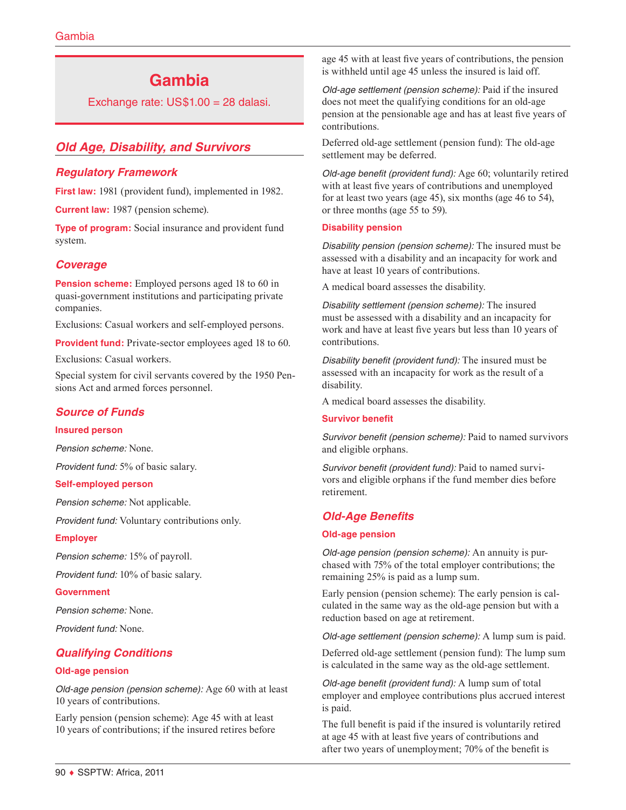# **Gambia**

Exchange rate: US\$1.00 = 28 dalasi.

# *Old Age, Disability, and Survivors*

# *Regulatory Framework*

**First law:** 1981 (provident fund), implemented in 1982.

**Current law:** 1987 (pension scheme).

**Type of program:** Social insurance and provident fund system.

# *Coverage*

**Pension scheme:** Employed persons aged 18 to 60 in quasi-government institutions and participating private companies.

Exclusions: Casual workers and self-employed persons.

**Provident fund:** Private-sector employees aged 18 to 60.

Exclusions: Casual workers.

Special system for civil servants covered by the 1950 Pensions Act and armed forces personnel.

### *Source of Funds*

### **Insured person**

*Pension scheme:* None.

*Provident fund:* 5% of basic salary.

### **Self-employed person**

*Pension scheme:* Not applicable.

*Provident fund:* Voluntary contributions only.

#### **Employer**

*Pension scheme:* 15% of payroll.

*Provident fund:* 10% of basic salary.

#### **Government**

*Pension scheme:* None.

*Provident fund:* None.

# *Qualifying Conditions*

### **Old-age pension**

*Old-age pension (pension scheme):* Age 60 with at least 10 years of contributions.

Early pension (pension scheme): Age 45 with at least 10 years of contributions; if the insured retires before age 45 with at least five years of contributions, the pension is withheld until age 45 unless the insured is laid off.

*Old-age settlement (pension scheme):* Paid if the insured does not meet the qualifying conditions for an old-age pension at the pensionable age and has at least five years of contributions.

Deferred old-age settlement (pension fund): The old-age settlement may be deferred.

*Old-age benefit (provident fund):* Age 60; voluntarily retired with at least five years of contributions and unemployed for at least two years (age 45), six months (age 46 to 54), or three months (age 55 to 59).

#### **Disability pension**

*Disability pension (pension scheme):* The insured must be assessed with a disability and an incapacity for work and have at least 10 years of contributions.

A medical board assesses the disability.

*Disability settlement (pension scheme):* The insured must be assessed with a disability and an incapacity for work and have at least five years but less than 10 years of contributions.

*Disability benefit (provident fund):* The insured must be assessed with an incapacity for work as the result of a disability.

A medical board assesses the disability.

### **Survivor benefit**

*Survivor benefit (pension scheme):* Paid to named survivors and eligible orphans.

*Survivor benefit (provident fund):* Paid to named survivors and eligible orphans if the fund member dies before retirement.

### *Old-Age Benefits*

#### **Old-age pension**

*Old-age pension (pension scheme):* An annuity is purchased with 75% of the total employer contributions; the remaining 25% is paid as a lump sum.

Early pension (pension scheme): The early pension is calculated in the same way as the old-age pension but with a reduction based on age at retirement.

*Old-age settlement (pension scheme):* A lump sum is paid.

Deferred old-age settlement (pension fund): The lump sum is calculated in the same way as the old-age settlement.

*Old-age benefit (provident fund):* A lump sum of total employer and employee contributions plus accrued interest is paid.

The full benefit is paid if the insured is voluntarily retired at age 45 with at least five years of contributions and after two years of unemployment; 70% of the benefit is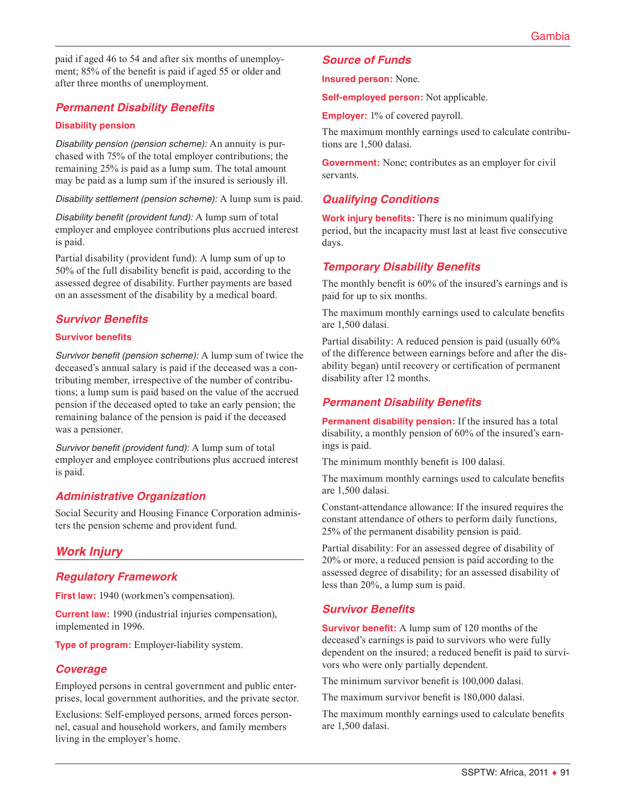paid if aged 46 to 54 and after six months of unemployment; 85% of the benefit is paid if aged 55 or older and after three months of unemployment.

# *Permanent Disability Benefits*

### **Disability pension**

*Disability pension (pension scheme):* An annuity is purchased with 75% of the total employer contributions; the remaining 25% is paid as a lump sum. The total amount may be paid as a lump sum if the insured is seriously ill.

*Disability settlement (pension scheme):* A lump sum is paid.

*Disability benefit (provident fund):* A lump sum of total employer and employee contributions plus accrued interest is paid.

Partial disability (provident fund): A lump sum of up to 50% of the full disability benefit is paid, according to the assessed degree of disability. Further payments are based on an assessment of the disability by a medical board.

# *Survivor Benefits*

### **Survivor benefits**

*Survivor benefit (pension scheme):* A lump sum of twice the deceased's annual salary is paid if the deceased was a contributing member, irrespective of the number of contributions; a lump sum is paid based on the value of the accrued pension if the deceased opted to take an early pension; the remaining balance of the pension is paid if the deceased was a pensioner.

*Survivor benefit (provident fund):* A lump sum of total employer and employee contributions plus accrued interest is paid.

### *Administrative Organization*

Social Security and Housing Finance Corporation administers the pension scheme and provident fund.

# *Work Injury*

### *Regulatory Framework*

**First law:** 1940 (workmen's compensation).

**Current law:** 1990 (industrial injuries compensation), implemented in 1996.

**Type of program:** Employer-liability system.

### *Coverage*

Employed persons in central government and public enterprises, local government authorities, and the private sector.

Exclusions: Self-employed persons, armed forces personnel, casual and household workers, and family members living in the employer's home.

# *Source of Funds*

**Insured person:** None.

**Self-employed person:** Not applicable.

**Employer:** 1% of covered payroll.

The maximum monthly earnings used to calculate contributions are 1,500 dalasi.

**Government:** None; contributes as an employer for civil servants.

# *Qualifying Conditions*

**Work injury benefits:** There is no minimum qualifying period, but the incapacity must last at least five consecutive days.

### *Temporary Disability Benefits*

The monthly benefit is 60% of the insured's earnings and is paid for up to six months.

The maximum monthly earnings used to calculate benefits are 1,500 dalasi.

Partial disability: A reduced pension is paid (usually 60% of the difference between earnings before and after the disability began) until recovery or certification of permanent disability after 12 months.

# *Permanent Disability Benefits*

**Permanent disability pension:** If the insured has a total disability, a monthly pension of 60% of the insured's earnings is paid.

The minimum monthly benefit is 100 dalasi.

The maximum monthly earnings used to calculate benefits are 1,500 dalasi.

Constant-attendance allowance: If the insured requires the constant attendance of others to perform daily functions, 25% of the permanent disability pension is paid.

Partial disability: For an assessed degree of disability of 20% or more, a reduced pension is paid according to the assessed degree of disability; for an assessed disability of less than 20%, a lump sum is paid.

### *Survivor Benefits*

**Survivor benefit:** A lump sum of 120 months of the deceased's earnings is paid to survivors who were fully dependent on the insured; a reduced benefit is paid to survivors who were only partially dependent.

The minimum survivor benefit is 100,000 dalasi.

The maximum survivor benefit is 180,000 dalasi.

The maximum monthly earnings used to calculate benefits are 1,500 dalasi.